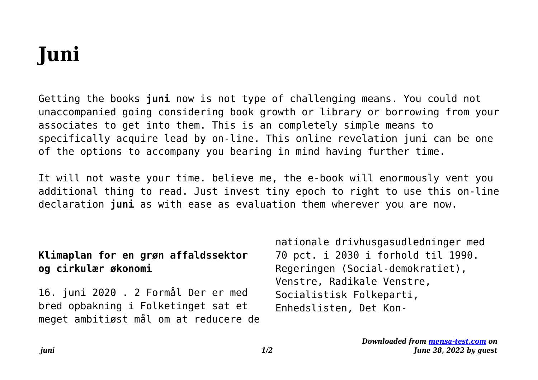# **Juni**

Getting the books **juni** now is not type of challenging means. You could not unaccompanied going considering book growth or library or borrowing from your associates to get into them. This is an completely simple means to specifically acquire lead by on-line. This online revelation juni can be one of the options to accompany you bearing in mind having further time.

It will not waste your time. believe me, the e-book will enormously vent you additional thing to read. Just invest tiny epoch to right to use this on-line declaration **juni** as with ease as evaluation them wherever you are now.

### **Klimaplan for en grøn affaldssektor og cirkulær økonomi**

16. juni 2020 . 2 Formål Der er med bred opbakning i Folketinget sat et meget ambitiøst mål om at reducere de nationale drivhusgasudledninger med 70 pct. i 2030 i forhold til 1990. Regeringen (Social-demokratiet), Venstre, Radikale Venstre, Socialistisk Folkeparti, Enhedslisten, Det Kon-